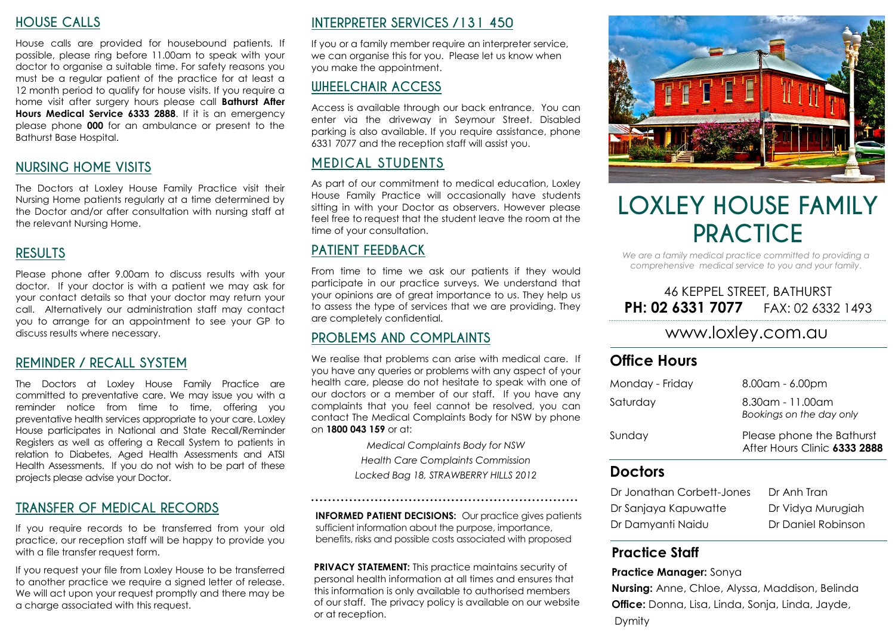#### **HOUSE CALLS**

House calls are provided for housebound patients. If possible, please ring before 11.00am to speak with your doctor to organise a suitable time. For safety reasons you must be a regular patient of the practice for at least a 12 month period to qualify for house visits. If you require a home visit after surgery hours please call **Bathurst After Hours Medical Service 6333 2888**. If it is an emergency please phone **000** for an ambulance or present to the Bathurst Base Hospital.

#### **NURSING HOME VISITS**

The Doctors at Loxley House Family Practice visit their Nursing Home patients regularly at a time determined by the Doctor and/or after consultation with nursing staff at the relevant Nursing Home.

#### **RESULTS**

Please phone after 9.00am to discuss results with your doctor. If your doctor is with a patient we may ask for your contact details so that your doctor may return your call. Alternatively our administration staff may contact you to arrange for an appointment to see your GP to discuss results where necessary.

#### **REMINDER / RECALL SYSTEM**

The Doctors at Loxley House Family Practice are committed to preventative care. We may issue you with a reminder notice from time to time, offering you preventative health services appropriate to your care. Loxley House participates in National and State Recall/Reminder Registers as well as offering a Recall System to patients in relation to Diabetes, Aged Health Assessments and ATSI Health Assessments. If you do not wish to be part of these projects please advise your Doctor.

#### **TRANSFER OF MEDICAL RECORDS**

If you require records to be transferred from your old practice, our reception staff will be happy to provide you with a file transfer request form.

If you request your file from Loxley House to be transferred to another practice we require a signed letter of release. We will act upon your request promptly and there may be a charge associated with this request.

## **INTERPRETER SERVICES /131 450**

If you or a family member require an interpreter service, we can organise this for you. Please let us know when you make the appointment.

## **WHEELCHAIR ACCESS**

Access is available through our back entrance. You can enter via the driveway in Seymour Street. Disabled parking is also available. If you require assistance, phone 6331 7077 and the reception staff will assist you.

## **MEDICAL STUDENTS**

As part of our commitment to medical education, Loxley House Family Practice will occasionally have students sitting in with your Doctor as observers. However please feel free to request that the student leave the room at the time of your consultation.

#### **PATIENT FEEDBACK**

From time to time we ask our patients if they would participate in our practice surveys. We understand that your opinions are of great importance to us. They help us to assess the type of services that we are providing. They are completely confidential.

#### **PROBLEMS AND COMPLAINTS**

We realise that problems can arise with medical care. If you have any queries or problems with any aspect of your health care, please do not hesitate to speak with one of our doctors or a member of our staff. If you have any complaints that you feel cannot be resolved, you can contact The Medical Complaints Body for NSW by phone on **1800 043 159** or at:

> *Medical Complaints Body for NSW Health Care Complaints Commission Locked Bag 18, STRAWBERRY HILLS 2012*

**INFORMED PATIENT DECISIONS:** Our practice gives patients sufficient information about the purpose, importance, benefits, risks and possible costs associated with proposed

**PRIVACY STATEMENT:** This practice maintains security of personal health information at all times and ensures that this information is only available to authorised members of our staff. The privacy policy is available on our website or at reception.



# **LOXLEY HOUSE FAMILY PRACTICE**

*We are a family medical practice committed to providing a comprehensive medical service to you and your family*.

#### 46 KEPPEL STREET, BATHURST **PH: 02 6331 7077 FAX: 02 6332 1493**

## www.loxley.com.au

#### **Office Hours**

| Monday - Friday | $8.00$ am - 6.00pm                                        |
|-----------------|-----------------------------------------------------------|
| Saturday        | 8.30am - 11.00am<br>Bookings on the day only              |
| Sunday          | Please phone the Bathurst<br>After Hours Clinic 6333 2888 |

#### **Doctors**

| Dr Jonathan Corbett-Jones | Dr Anh Tran        |
|---------------------------|--------------------|
| Dr Sanjaya Kapuwatte      | Dr Vidya Murugiah  |
| Dr Damyanti Naidu         | Dr Daniel Robinson |

## **Practice Staff**

#### **Practice Manager:** Sonya

**Nursing:** Anne, Chloe, Alyssa, Maddison, Belinda **Office:** Donna, Lisa, Linda, Sonja, Linda, Jayde, Dymity